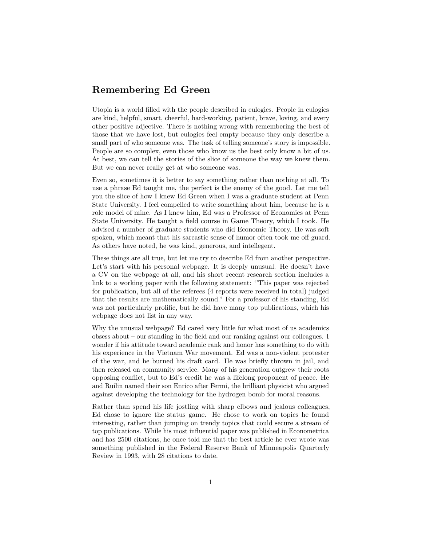## **Remembering Ed Green**

Utopia is a world filled with the people described in eulogies. People in eulogies are kind, helpful, smart, cheerful, hard-working, patient, brave, loving, and every other positive adjective. There is nothing wrong with remembering the best of those that we have lost, but eulogies feel empty because they only describe a small part of who someone was. The task of telling someone's story is impossible. People are so complex, even those who know us the best only know a bit of us. At best, we can tell the stories of the slice of someone the way we knew them. But we can never really get at who someone was.

Even so, sometimes it is better to say something rather than nothing at all. To use a phrase Ed taught me, the perfect is the enemy of the good. Let me tell you the slice of how I knew Ed Green when I was a graduate student at Penn State University. I feel compelled to write something about him, because he is a role model of mine. As I knew him, Ed was a Professor of Economics at Penn State University. He taught a field course in Game Theory, which I took. He advised a number of graduate students who did Economic Theory. He was soft spoken, which meant that his sarcastic sense of humor often took me off guard. As others have noted, he was kind, generous, and intellegent.

These things are all true, but let me try to describe Ed from another perspective. Let's start with his personal webpage. It is deeply unusual. He doesn't have a CV on the webpage at all, and his short recent research section includes a link to a working paper with the following statement: ''This paper was rejected for publication, but all of the referees (4 reports were received in total) judged that the results are mathematically sound." For a professor of his standing, Ed was not particularly prolific, but he did have many top publications, which his webpage does not list in any way.

Why the unusual webpage? Ed cared very little for what most of us academics obsess about – our standing in the field and our ranking against our colleagues. I wonder if his attitude toward academic rank and honor has something to do with his experience in the Vietnam War movement. Ed was a non-violent protester of the war, and he burned his draft card. He was briefly thrown in jail, and then released on community service. Many of his generation outgrew their roots opposing conflict, but to Ed's credit he was a lifelong proponent of peace. He and Ruilin named their son Enrico after Fermi, the brilliant physicist who argued against developing the technology for the hydrogen bomb for moral reasons.

Rather than spend his life jostling with sharp elbows and jealous colleagues, Ed chose to ignore the status game. He chose to work on topics he found interesting, rather than jumping on trendy topics that could secure a stream of top publications. While his most influential paper was published in Econometrica and has 2500 citations, he once told me that the best article he ever wrote was something published in the Federal Reserve Bank of Minneapolis Quarterly Review in 1993, with 28 citations to date.